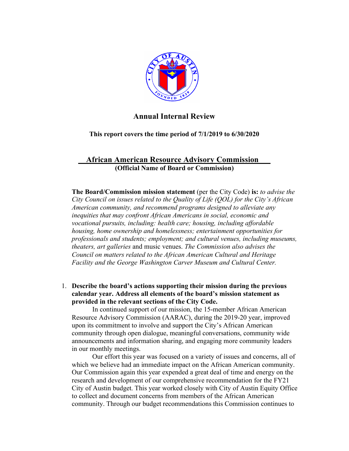

## **Annual Internal Review**

**This report covers the time period of 7/1/2019 to 6/30/2020**

# **\_\_African American Resource Advisory Commission\_\_\_ (Official Name of Board or Commission)**

**The Board/Commission mission statement** (per the City Code) **is:** *to advise the City Council on issues related to the Quality of Life (QOL) for the City's African American community, and recommend programs designed to alleviate any inequities that may confront African Americans in social, economic and vocational pursuits, including: health care; housing, including affordable housing, home ownership and homelessness; entertainment opportunities for professionals and students; employment; and cultural venues, including museums, theaters, art galleries* and music venues. *The Commission also advises the Council on matters related to the African American Cultural and Heritage Facility and the George Washington Carver Museum and Cultural Center.*

1. **Describe the board's actions supporting their mission during the previous calendar year. Address all elements of the board's mission statement as provided in the relevant sections of the City Code.** 

In continued support of our mission, the 15-member African American Resource Advisory Commission (AARAC), during the 2019-20 year, improved upon its commitment to involve and support the City's African American community through open dialogue, meaningful conversations, community wide announcements and information sharing, and engaging more community leaders in our monthly meetings.

Our effort this year was focused on a variety of issues and concerns, all of which we believe had an immediate impact on the African American community. Our Commission again this year expended a great deal of time and energy on the research and development of our comprehensive recommendation for the FY21 City of Austin budget. This year worked closely with City of Austin Equity Office to collect and document concerns from members of the African American community. Through our budget recommendations this Commission continues to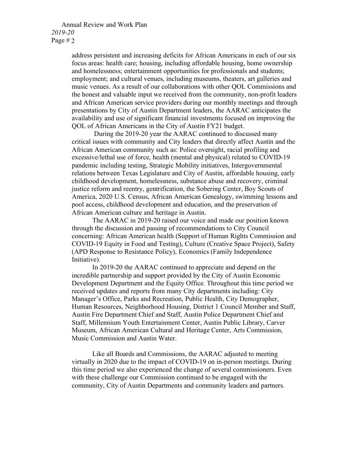#### Annual Review and Work Plan *2019-20* Page  $#2$

address persistent and increasing deficits for African Americans in each of our six focus areas: health care; housing, including affordable housing, home ownership and homelessness; entertainment opportunities for professionals and students; employment; and cultural venues, including museums, theaters, art galleries and music venues. As a result of our collaborations with other QOL Commissions and the honest and valuable input we received from the community, non-profit leaders and African American service providers during our monthly meetings and through presentations by City of Austin Department leaders, the AARAC anticipates the availability and use of significant financial investments focused on improving the QOL of African Americans in the City of Austin FY21 budget.

During the 2019-20 year the AARAC continued to discussed many critical issues with community and City leaders that directly affect Austin and the African American community such as: Police oversight, racial profiling and excessive/lethal use of force, health (mental and physical) related to COVID-19 pandemic including testing, Strategic Mobility initiatives, Intergovernmental relations between Texas Legislature and City of Austin, affordable housing, early childhood development, homelessness, substance abuse and recovery, criminal justice reform and reentry, gentrification, the Sobering Center, Boy Scouts of America, 2020 U.S. Census, African American Genealogy, swimming lessons and pool access, childhood development and education, and the preservation of African American culture and heritage in Austin.

The AARAC in 2019-20 raised our voice and made our position known through the discussion and passing of recommendations to City Council concerning: African American health (Support of Human Rights Commission and COVID-19 Equity in Food and Testing), Culture (Creative Space Project), Safety (APD Response to Resistance Policy), Economics (Family Independence Initiative).

In 2019-20 the AARAC continued to appreciate and depend on the incredible partnership and support provided by the City of Austin Economic Development Department and the Equity Office. Throughout this time period we received updates and reports from many City departments including: City Manager's Office, Parks and Recreation, Public Health, City Demographer, Human Resources, Neighborhood Housing, District 1 Council Member and Staff, Austin Fire Department Chief and Staff, Austin Police Department Chief and Staff, Millennium Youth Entertainment Center, Austin Public Library, Carver Museum, African American Cultural and Heritage Center, Arts Commission, Music Commission and Austin Water.

Like all Boards and Commissions, the AARAC adjusted to meeting virtually in 2020 due to the impact of COVID-19 on in-person meetings. During this time period we also experienced the change of several commissioners. Even with these challenge our Commission continued to be engaged with the community, City of Austin Departments and community leaders and partners.